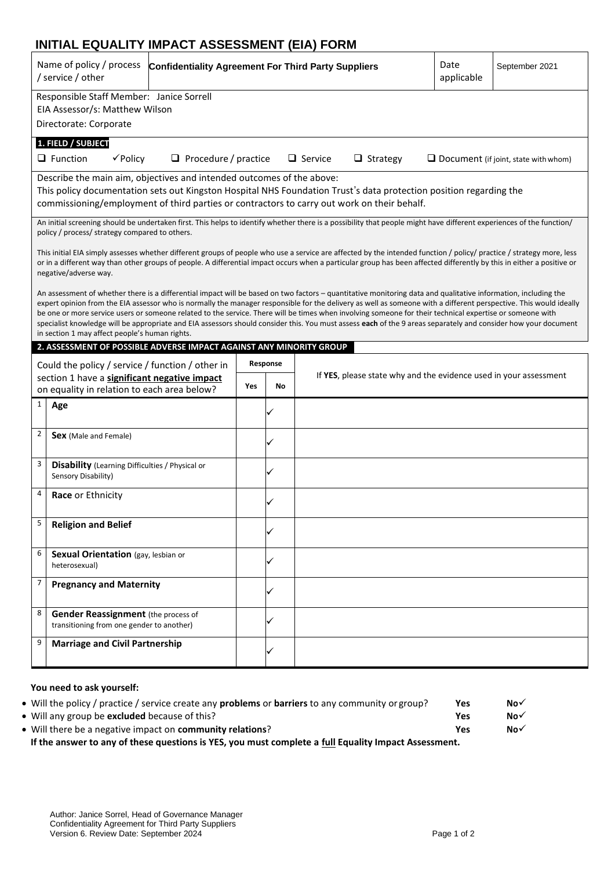## **INITIAL EQUALITY IMPACT ASSESSMENT (EIA) FORM**

| Name of policy / process<br>/ service / other                                                                                                                                                                                                                                                                                                                                                                                                                                                                                                                                                                                                                                                                       | Date<br><b>Confidentiality Agreement For Third Party Suppliers</b><br>September 2021<br>applicable |          |                                                                   |  |                                             |  |
|---------------------------------------------------------------------------------------------------------------------------------------------------------------------------------------------------------------------------------------------------------------------------------------------------------------------------------------------------------------------------------------------------------------------------------------------------------------------------------------------------------------------------------------------------------------------------------------------------------------------------------------------------------------------------------------------------------------------|----------------------------------------------------------------------------------------------------|----------|-------------------------------------------------------------------|--|---------------------------------------------|--|
| Responsible Staff Member: Janice Sorrell<br>EIA Assessor/s: Matthew Wilson<br>Directorate: Corporate                                                                                                                                                                                                                                                                                                                                                                                                                                                                                                                                                                                                                |                                                                                                    |          |                                                                   |  |                                             |  |
| 1. FIELD / SUBJECT<br>$\Box$ Function<br>$\checkmark$ Policy                                                                                                                                                                                                                                                                                                                                                                                                                                                                                                                                                                                                                                                        |                                                                                                    |          |                                                                   |  |                                             |  |
| $\Box$ Procedure / practice                                                                                                                                                                                                                                                                                                                                                                                                                                                                                                                                                                                                                                                                                         |                                                                                                    |          | $\Box$ Service<br>$\Box$ Strategy                                 |  | $\Box$ Document (if joint, state with whom) |  |
| Describe the main aim, objectives and intended outcomes of the above:<br>This policy documentation sets out Kingston Hospital NHS Foundation Trust's data protection position regarding the<br>commissioning/employment of third parties or contractors to carry out work on their behalf.                                                                                                                                                                                                                                                                                                                                                                                                                          |                                                                                                    |          |                                                                   |  |                                             |  |
| An initial screening should be undertaken first. This helps to identify whether there is a possibility that people might have different experiences of the function/<br>policy / process/ strategy compared to others.                                                                                                                                                                                                                                                                                                                                                                                                                                                                                              |                                                                                                    |          |                                                                   |  |                                             |  |
| This initial EIA simply assesses whether different groups of people who use a service are affected by the intended function / policy/ practice / strategy more, less<br>or in a different way than other groups of people. A differential impact occurs when a particular group has been affected differently by this in either a positive or<br>negative/adverse way.                                                                                                                                                                                                                                                                                                                                              |                                                                                                    |          |                                                                   |  |                                             |  |
| An assessment of whether there is a differential impact will be based on two factors – quantitative monitoring data and qualitative information, including the<br>expert opinion from the EIA assessor who is normally the manager responsible for the delivery as well as someone with a different perspective. This would ideally<br>be one or more service users or someone related to the service. There will be times when involving someone for their technical expertise or someone with<br>specialist knowledge will be appropriate and EIA assessors should consider this. You must assess each of the 9 areas separately and consider how your document<br>in section 1 may affect people's human rights. |                                                                                                    |          |                                                                   |  |                                             |  |
| 2. ASSESSMENT OF POSSIBLE ADVERSE IMPACT AGAINST ANY MINORITY GROUP                                                                                                                                                                                                                                                                                                                                                                                                                                                                                                                                                                                                                                                 |                                                                                                    |          |                                                                   |  |                                             |  |
| Could the policy / service / function / other in                                                                                                                                                                                                                                                                                                                                                                                                                                                                                                                                                                                                                                                                    |                                                                                                    | Response |                                                                   |  |                                             |  |
| section 1 have a significant negative impact<br>on equality in relation to each area below?                                                                                                                                                                                                                                                                                                                                                                                                                                                                                                                                                                                                                         | Yes                                                                                                | No       | If YES, please state why and the evidence used in your assessment |  |                                             |  |
| $\mathbf{1}$<br>Age                                                                                                                                                                                                                                                                                                                                                                                                                                                                                                                                                                                                                                                                                                 |                                                                                                    |          |                                                                   |  |                                             |  |
| $\overline{2}$<br><b>Sex</b> (Male and Female)                                                                                                                                                                                                                                                                                                                                                                                                                                                                                                                                                                                                                                                                      |                                                                                                    |          |                                                                   |  |                                             |  |
| 3<br><b>Disability</b> (Learning Difficulties / Physical or<br>Sensory Disability)                                                                                                                                                                                                                                                                                                                                                                                                                                                                                                                                                                                                                                  |                                                                                                    |          |                                                                   |  |                                             |  |
| 4<br>Race or Ethnicity                                                                                                                                                                                                                                                                                                                                                                                                                                                                                                                                                                                                                                                                                              |                                                                                                    |          |                                                                   |  |                                             |  |
| 5<br><b>Religion and Belief</b>                                                                                                                                                                                                                                                                                                                                                                                                                                                                                                                                                                                                                                                                                     |                                                                                                    |          |                                                                   |  |                                             |  |
| 6<br>Sexual Orientation (gay, lesbian or<br>heterosexual)                                                                                                                                                                                                                                                                                                                                                                                                                                                                                                                                                                                                                                                           |                                                                                                    |          |                                                                   |  |                                             |  |
| $\overline{7}$<br><b>Pregnancy and Maternity</b>                                                                                                                                                                                                                                                                                                                                                                                                                                                                                                                                                                                                                                                                    |                                                                                                    |          |                                                                   |  |                                             |  |
| 8<br><b>Gender Reassignment</b> (the process of<br>transitioning from one gender to another)                                                                                                                                                                                                                                                                                                                                                                                                                                                                                                                                                                                                                        |                                                                                                    |          |                                                                   |  |                                             |  |
| 9<br><b>Marriage and Civil Partnership</b>                                                                                                                                                                                                                                                                                                                                                                                                                                                                                                                                                                                                                                                                          |                                                                                                    |          |                                                                   |  |                                             |  |

## **You need to ask yourself:**

| • Will the policy / practice / service create any <b>problems</b> or <b>barriers</b> to any community or group? | <b>Yes</b> | $No\checkmark$ |  |
|-----------------------------------------------------------------------------------------------------------------|------------|----------------|--|
| • Will any group be <b>excluded</b> because of this?                                                            | Yes        | $No\checkmark$ |  |
| • Will there be a negative impact on <b>community relations</b> ?                                               | Yes        | $No\checkmark$ |  |
| If the answer to any of these questions is YES, you must complete a full Equality Impact Assessment.            |            |                |  |